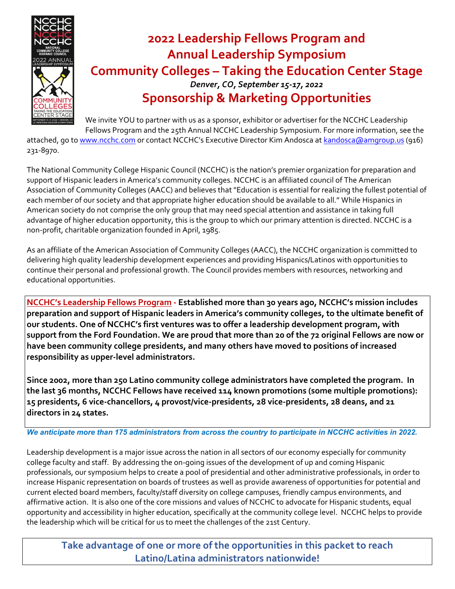

## **2022 Leadership Fellows Program and Annual Leadership Symposium Community Colleges – Taking the Education Center Stage** *Denver, CO, September 15‐17, 2022* **Sponsorship & Marketing Opportunities**

We invite YOU to partner with us as a sponsor, exhibitor or advertiser for the NCCHC Leadership Fellows Program and the 25th Annual NCCHC Leadership Symposium. For more information, see the

attached, go to www.ncchc.com or contact NCCHC's Executive Director Kim Andosca at kandosca@amgroup.us (916) 231‐8970.

The National Community College Hispanic Council (NCCHC) is the nation's premier organization for preparation and support of Hispanic leaders in America's community colleges. NCCHC is an affiliated council of The American Association of Community Colleges (AACC) and believes that "Education is essential for realizing the fullest potential of each member of our society and that appropriate higher education should be available to all." While Hispanics in American society do not comprise the only group that may need special attention and assistance in taking full advantage of higher education opportunity, this is the group to which our primary attention is directed. NCCHC is a non‐profit, charitable organization founded in April, 1985.

As an affiliate of the American Association of Community Colleges (AACC), the NCCHC organization is committed to delivering high quality leadership development experiences and providing Hispanics/Latinos with opportunities to continue their personal and professional growth. The Council provides members with resources, networking and educational opportunities.

**NCCHC's Leadership Fellows Program ‐ Established more than 30 years ago, NCCHC's mission includes preparation and support of Hispanic leaders in America's community colleges, to the ultimate benefit of our students. One of NCCHC's first ventures was to offer a leadership development program, with** support from the Ford Foundation. We are proud that more than 20 of the 72 original Fellows are now or **have been community college presidents, and many others have moved to positions of increased responsibility as upper‐level administrators.**

**Since 2002, more than 250 Latino community college administrators have completed the program. In the last 36 months, NCCHC Fellows have received 114 known promotions (some multiple promotions): 15 presidents, 6 vice‐chancellors, 4 provost/vice‐presidents, 28 vice‐presidents, 28 deans, and 21 directors in 24 states.** 

*We anticipate more than 175 administrators from across the country to participate in NCCHC activities in 2022.*

Leadership development is a major issue across the nation in all sectors of our economy especially for community college faculty and staff. By addressing the on‐going issues of the development of up and coming Hispanic professionals, our symposium helps to create a pool of presidential and other administrative professionals, in order to increase Hispanic representation on boards of trustees as well as provide awareness of opportunities for potential and current elected board members, faculty/staff diversity on college campuses, friendly campus environments, and affirmative action. It is also one of the core missions and values of NCCHC to advocate for Hispanic students, equal opportunity and accessibility in higher education, specifically at the community college level. NCCHC helps to provide the leadership which will be critical for us to meet the challenges of the 21st Century.

**Take advantage of one or more of the opportunities in this packet to reach Latino/Latina administrators nationwide!**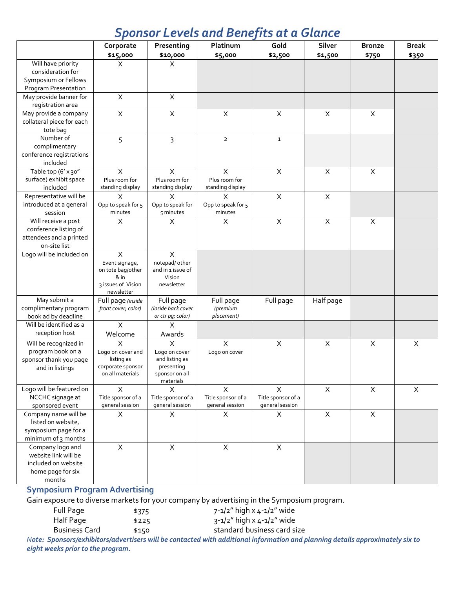## *Sponsor Levels and Benefits at a Glance*

|                                                   | Corporate                       | Presenting                   | Platinum                      | Gold                      | Silver       | <b>Bronze</b>  | <b>Break</b> |
|---------------------------------------------------|---------------------------------|------------------------------|-------------------------------|---------------------------|--------------|----------------|--------------|
|                                                   | \$15,000                        | \$10,000                     | \$5,000                       | \$2,500                   | \$1,500      | \$750          | \$350        |
| Will have priority                                | X                               | X                            |                               |                           |              |                |              |
| consideration for<br>Symposium or Fellows         |                                 |                              |                               |                           |              |                |              |
| Program Presentation                              |                                 |                              |                               |                           |              |                |              |
| May provide banner for                            | $\pmb{\times}$                  | $\times$                     |                               |                           |              |                |              |
| registration area                                 |                                 |                              |                               |                           |              |                |              |
| May provide a company                             | X                               | $\mathsf{X}$                 | X                             | $\times$                  | $\times$     | $\pmb{\times}$ |              |
| collateral piece for each                         |                                 |                              |                               |                           |              |                |              |
| tote bag                                          |                                 |                              |                               |                           |              |                |              |
| Number of                                         | 5                               | 3                            | $\overline{2}$                | $\mathbf{1}$              |              |                |              |
| complimentary                                     |                                 |                              |                               |                           |              |                |              |
| conference registrations                          |                                 |                              |                               |                           |              |                |              |
| included                                          |                                 |                              |                               |                           |              |                |              |
| Table top (6' x 30"                               | X                               | $\times$                     | X                             | $\boldsymbol{\mathsf{X}}$ | $\times$     | $\pmb{\times}$ |              |
| surface) exhibit space                            | Plus room for                   | Plus room for                | Plus room for                 |                           |              |                |              |
| included                                          | standing display                | standing display<br>X        | standing display              | $\pmb{\times}$            | $\mathsf X$  |                |              |
| Representative will be<br>introduced at a general | Χ<br>Opp to speak for 5         | Opp to speak for             | X                             |                           |              |                |              |
| session                                           | minutes                         | 5 minutes                    | Opp to speak for 5<br>minutes |                           |              |                |              |
| Will receive a post                               | Χ                               | X                            | X                             | $\boldsymbol{\mathsf{X}}$ | $\mathsf X$  | $\pmb{\times}$ |              |
| conference listing of                             |                                 |                              |                               |                           |              |                |              |
| attendees and a printed                           |                                 |                              |                               |                           |              |                |              |
| on-site list                                      |                                 |                              |                               |                           |              |                |              |
| Logo will be included on                          | X                               | $\mathsf{X}$                 |                               |                           |              |                |              |
|                                                   | Event signage,                  | notepad/ other               |                               |                           |              |                |              |
|                                                   | on tote bag/other               | and in 1 issue of            |                               |                           |              |                |              |
|                                                   | & in<br>3 issues of Vision      | Vision<br>newsletter         |                               |                           |              |                |              |
|                                                   | newsletter                      |                              |                               |                           |              |                |              |
| May submit a                                      | Full page (inside               | Full page                    | Full page                     | Full page                 | Half page    |                |              |
| complimentary program                             | front cover; color)             | (inside back cover           | (premium                      |                           |              |                |              |
| book ad by deadline                               |                                 | or ctr pg; color)            | placement)                    |                           |              |                |              |
| Will be identified as a                           | X                               | X                            |                               |                           |              |                |              |
| reception host                                    | Welcome                         | Awards                       |                               |                           |              |                |              |
| Will be recognized in                             | X                               | X                            | $\pmb{\times}$                | $\pmb{\times}$            | $\mathsf X$  | X              | X            |
| program book on a                                 | Logo on cover and               | Logo on cover                | Logo on cover                 |                           |              |                |              |
| sponsor thank you page                            | listing as<br>corporate sponsor | and listing as<br>presenting |                               |                           |              |                |              |
| and in listings                                   | on all materials                | sponsor on all               |                               |                           |              |                |              |
|                                                   |                                 | materials                    |                               |                           |              |                |              |
| Logo will be featured on                          | X                               | X                            | X                             | $\times$                  | $\mathsf{X}$ | $\mathsf{X}$   | $\mathsf{X}$ |
| NCCHC signage at                                  | Title sponsor of a              | Title sponsor of a           | Title sponsor of a            | Title sponsor of a        |              |                |              |
| sponsored event                                   | general session                 | general session              | general session               | general session           |              |                |              |
| Company name will be                              | X                               | X                            | X                             | X                         | $\times$     | $\pmb{\times}$ |              |
| listed on website,                                |                                 |                              |                               |                           |              |                |              |
| symposium page for a<br>minimum of 3 months       |                                 |                              |                               |                           |              |                |              |
| Company logo and                                  | $\pmb{\times}$                  | $\mathsf{X}$                 | $\overline{X}$                | $\overline{X}$            |              |                |              |
| website link will be                              |                                 |                              |                               |                           |              |                |              |
| included on website                               |                                 |                              |                               |                           |              |                |              |
| home page for six                                 |                                 |                              |                               |                           |              |                |              |
| months                                            |                                 |                              |                               |                           |              |                |              |

## **Symposium Program Advertising**

Gain exposure to diverse markets for your company by advertising in the Symposium program.

| Full Page     | \$375 | 7-1/2" high x 4-1/2" wide   |
|---------------|-------|-----------------------------|
| Half Page     | \$225 | 3-1/2" high x 4-1/2" wide   |
| Business Card | \$150 | standard business card size |

Note: Sponsors/exhibitors/advertisers will be contacted with additional information and planning details approximately six to *eight weeks prior to the program.*